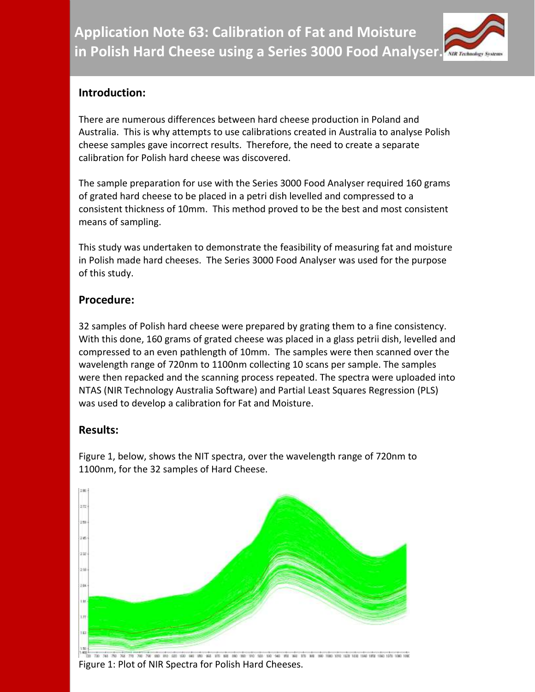

## **Introduction:**

There are numerous differences between hard cheese production in Poland and Australia. This is why attempts to use calibrations created in Australia to analyse Polish cheese samples gave incorrect results. Therefore, the need to create a separate calibration for Polish hard cheese was discovered.

The sample preparation for use with the Series 3000 Food Analyser required 160 grams of grated hard cheese to be placed in a petri dish levelled and compressed to a consistent thickness of 10mm. This method proved to be the best and most consistent means of sampling.

This study was undertaken to demonstrate the feasibility of measuring fat and moisture in Polish made hard cheeses. The Series 3000 Food Analyser was used for the purpose of this study.

## **Procedure:**

32 samples of Polish hard cheese were prepared by grating them to a fine consistency. With this done, 160 grams of grated cheese was placed in a glass petrii dish, levelled and compressed to an even pathlength of 10mm. The samples were then scanned over the wavelength range of 720nm to 1100nm collecting 10 scans per sample. The samples were then repacked and the scanning process repeated. The spectra were uploaded into NTAS (NIR Technology Australia Software) and Partial Least Squares Regression (PLS) was used to develop a calibration for Fat and Moisture.

## **Results:**

Figure 1, below, shows the NIT spectra, over the wavelength range of 720nm to 1100nm, for the 32 samples of Hard Cheese.



Figure 1: Plot of NIR Spectra for Polish Hard Cheeses.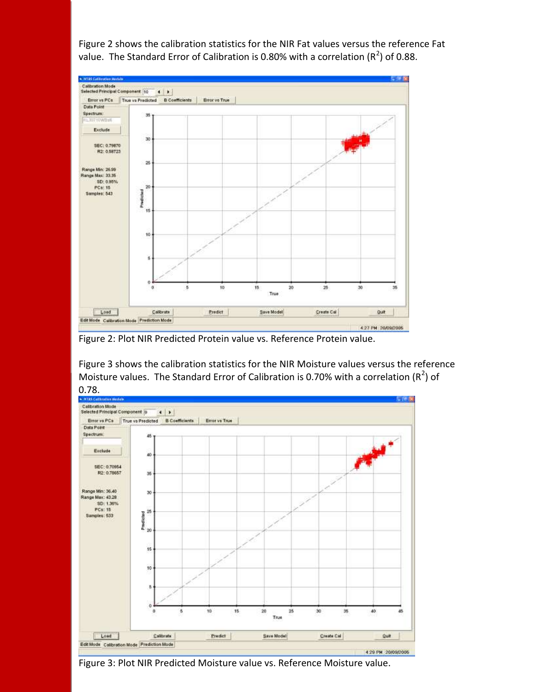Figure 2 shows the calibration statistics for the NIR Fat values versus the reference Fat value. The Standard Error of Calibration is 0.80% with a correlation ( $R^2$ ) of 0.88.



Figure 2: Plot NIR Predicted Protein value vs. Reference Protein value.

Figure 3 shows the calibration statistics for the NIR Moisture values versus the reference Moisture values. The Standard Error of Calibration is 0.70% with a correlation ( $R^2$ ) of